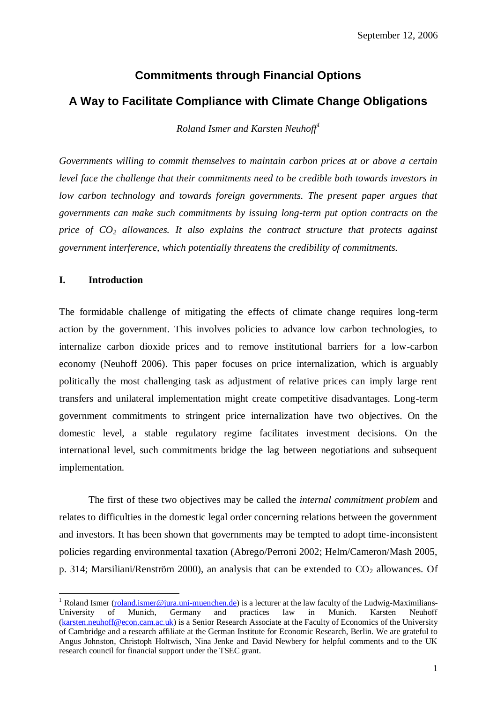# **Commitments through Financial Options A Way to Facilitate Compliance with Climate Change Obligations**

*Roland Ismer and Karsten Neuhoff<sup>1</sup>*

*Governments willing to commit themselves to maintain carbon prices at or above a certain level face the challenge that their commitments need to be credible both towards investors in low carbon technology and towards foreign governments. The present paper argues that governments can make such commitments by issuing long-term put option contracts on the price of CO<sup>2</sup> allowances. It also explains the contract structure that protects against government interference, which potentially threatens the credibility of commitments.*

# **I. Introduction**

1

The formidable challenge of mitigating the effects of climate change requires long-term action by the government. This involves policies to advance low carbon technologies, to internalize carbon dioxide prices and to remove institutional barriers for a low-carbon economy (Neuhoff 2006). This paper focuses on price internalization, which is arguably politically the most challenging task as adjustment of relative prices can imply large rent transfers and unilateral implementation might create competitive disadvantages. Long-term government commitments to stringent price internalization have two objectives. On the domestic level, a stable regulatory regime facilitates investment decisions. On the international level, such commitments bridge the lag between negotiations and subsequent implementation.

The first of these two objectives may be called the *internal commitment problem* and relates to difficulties in the domestic legal order concerning relations between the government and investors. It has been shown that governments may be tempted to adopt time-inconsistent policies regarding environmental taxation (Abrego/Perroni 2002; Helm/Cameron/Mash 2005, p. 314; Marsiliani/Renström 2000), an analysis that can be extended to  $CO<sub>2</sub>$  allowances. Of

<sup>&</sup>lt;sup>1</sup> Roland Ismer [\(roland.ismer@jura.uni-muenchen.de\)](mailto:roland.ismer@jura.uni-muenchen.de) is a lecturer at the law faculty of the Ludwig-Maximilians-University of Munich, Germany and practices law in Munich. Karsten Neuhoff [\(karsten.neuhoff@econ.cam.ac.uk\)](mailto:karsten.neuhoff@econ.cam.ac.uk) is a Senior Research Associate at the Faculty of Economics of the University of Cambridge and a research affiliate at the German Institute for Economic Research, Berlin. We are grateful to Angus Johnston, Christoph Holtwisch, Nina Jenke and David Newbery for helpful comments and to the UK research council for financial support under the TSEC grant.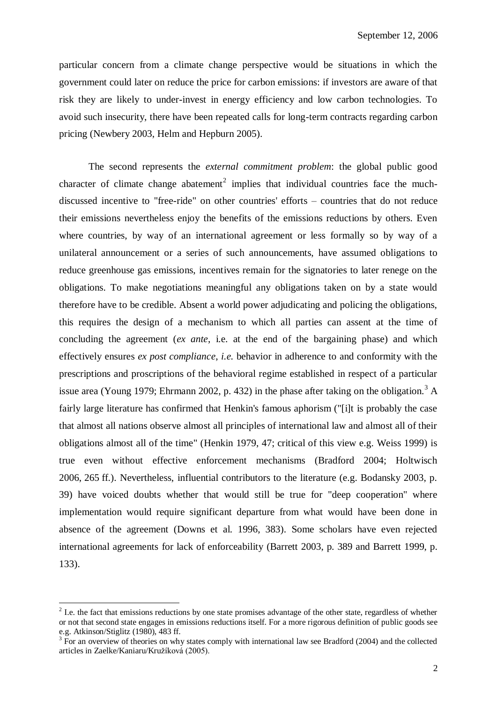particular concern from a climate change perspective would be situations in which the government could later on reduce the price for carbon emissions: if investors are aware of that risk they are likely to under-invest in energy efficiency and low carbon technologies. To avoid such insecurity, there have been repeated calls for long-term contracts regarding carbon pricing (Newbery 2003, Helm and Hepburn 2005).

The second represents the *external commitment problem*: the global public good character of climate change abatement<sup>2</sup> implies that individual countries face the muchdiscussed incentive to "free-ride" on other countries' efforts – countries that do not reduce their emissions nevertheless enjoy the benefits of the emissions reductions by others. Even where countries, by way of an international agreement or less formally so by way of a unilateral announcement or a series of such announcements, have assumed obligations to reduce greenhouse gas emissions, incentives remain for the signatories to later renege on the obligations. To make negotiations meaningful any obligations taken on by a state would therefore have to be credible. Absent a world power adjudicating and policing the obligations, this requires the design of a mechanism to which all parties can assent at the time of concluding the agreement (*ex ante*, i.e. at the end of the bargaining phase) and which effectively ensures *ex post compliance*, *i.e.* behavior in adherence to and conformity with the prescriptions and proscriptions of the behavioral regime established in respect of a particular issue area (Young 1979; Ehrmann 2002, p. 432) in the phase after taking on the obligation.<sup>3</sup> A fairly large literature has confirmed that Henkin's famous aphorism ("[i]t is probably the case that almost all nations observe almost all principles of international law and almost all of their obligations almost all of the time" (Henkin 1979, 47; critical of this view e.g. Weiss 1999) is true even without effective enforcement mechanisms (Bradford 2004; Holtwisch 2006, 265 ff.). Nevertheless, influential contributors to the literature (e.g. Bodansky 2003, p. 39) have voiced doubts whether that would still be true for "deep cooperation" where implementation would require significant departure from what would have been done in absence of the agreement (Downs et al. 1996, 383). Some scholars have even rejected international agreements for lack of enforceability (Barrett 2003, p. 389 and Barrett 1999, p. 133).

<u>.</u>

 $2^2$  I.e. the fact that emissions reductions by one state promises advantage of the other state, regardless of whether or not that second state engages in emissions reductions itself. For a more rigorous definition of public goods see e.g. Atkinson/Stiglitz (1980), 483 ff.

 $3$  For an overview of theories on why states comply with international law see Bradford (2004) and the collected articles in Zaelke/Kaniaru/Kružíková (2005).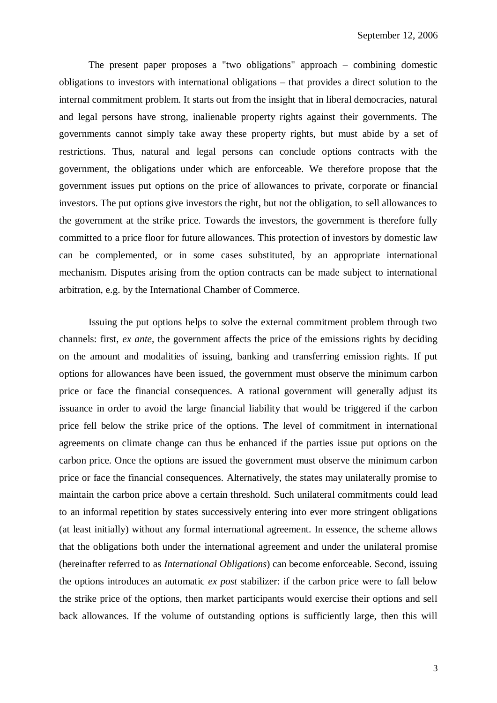The present paper proposes a "two obligations" approach – combining domestic obligations to investors with international obligations – that provides a direct solution to the internal commitment problem. It starts out from the insight that in liberal democracies, natural and legal persons have strong, inalienable property rights against their governments. The governments cannot simply take away these property rights, but must abide by a set of restrictions. Thus, natural and legal persons can conclude options contracts with the government, the obligations under which are enforceable. We therefore propose that the government issues put options on the price of allowances to private, corporate or financial investors. The put options give investors the right, but not the obligation, to sell allowances to the government at the strike price. Towards the investors, the government is therefore fully committed to a price floor for future allowances. This protection of investors by domestic law can be complemented, or in some cases substituted, by an appropriate international mechanism. Disputes arising from the option contracts can be made subject to international arbitration, e.g. by the International Chamber of Commerce.

Issuing the put options helps to solve the external commitment problem through two channels: first, *ex ante*, the government affects the price of the emissions rights by deciding on the amount and modalities of issuing, banking and transferring emission rights. If put options for allowances have been issued, the government must observe the minimum carbon price or face the financial consequences. A rational government will generally adjust its issuance in order to avoid the large financial liability that would be triggered if the carbon price fell below the strike price of the options. The level of commitment in international agreements on climate change can thus be enhanced if the parties issue put options on the carbon price. Once the options are issued the government must observe the minimum carbon price or face the financial consequences. Alternatively, the states may unilaterally promise to maintain the carbon price above a certain threshold. Such unilateral commitments could lead to an informal repetition by states successively entering into ever more stringent obligations (at least initially) without any formal international agreement. In essence, the scheme allows that the obligations both under the international agreement and under the unilateral promise (hereinafter referred to as *International Obligations*) can become enforceable. Second, issuing the options introduces an automatic *ex post* stabilizer: if the carbon price were to fall below the strike price of the options, then market participants would exercise their options and sell back allowances. If the volume of outstanding options is sufficiently large, then this will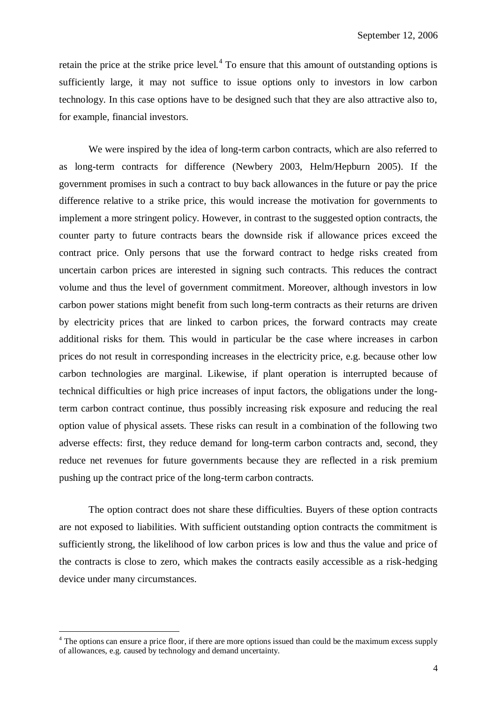retain the price at the strike price level. $4$  To ensure that this amount of outstanding options is sufficiently large, it may not suffice to issue options only to investors in low carbon technology. In this case options have to be designed such that they are also attractive also to, for example, financial investors.

We were inspired by the idea of long-term carbon contracts, which are also referred to as long-term contracts for difference (Newbery 2003, Helm/Hepburn 2005). If the government promises in such a contract to buy back allowances in the future or pay the price difference relative to a strike price, this would increase the motivation for governments to implement a more stringent policy. However, in contrast to the suggested option contracts, the counter party to future contracts bears the downside risk if allowance prices exceed the contract price. Only persons that use the forward contract to hedge risks created from uncertain carbon prices are interested in signing such contracts. This reduces the contract volume and thus the level of government commitment. Moreover, although investors in low carbon power stations might benefit from such long-term contracts as their returns are driven by electricity prices that are linked to carbon prices, the forward contracts may create additional risks for them. This would in particular be the case where increases in carbon prices do not result in corresponding increases in the electricity price, e.g. because other low carbon technologies are marginal. Likewise, if plant operation is interrupted because of technical difficulties or high price increases of input factors, the obligations under the longterm carbon contract continue, thus possibly increasing risk exposure and reducing the real option value of physical assets. These risks can result in a combination of the following two adverse effects: first, they reduce demand for long-term carbon contracts and, second, they reduce net revenues for future governments because they are reflected in a risk premium pushing up the contract price of the long-term carbon contracts.

The option contract does not share these difficulties. Buyers of these option contracts are not exposed to liabilities. With sufficient outstanding option contracts the commitment is sufficiently strong, the likelihood of low carbon prices is low and thus the value and price of the contracts is close to zero, which makes the contracts easily accessible as a risk-hedging device under many circumstances.

1

<sup>&</sup>lt;sup>4</sup> The options can ensure a price floor, if there are more options issued than could be the maximum excess supply of allowances, e.g. caused by technology and demand uncertainty.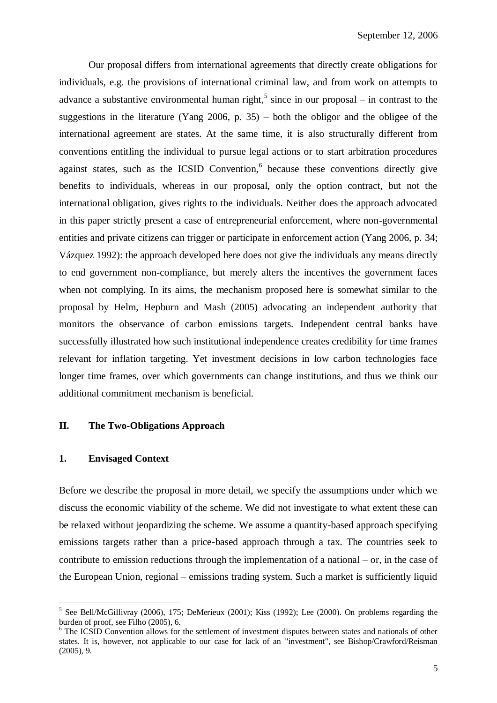Our proposal differs from international agreements that directly create obligations for individuals, e.g. the provisions of international criminal law, and from work on attempts to advance a substantive environmental human right,<sup>5</sup> since in our proposal – in contrast to the suggestions in the literature (Yang 2006, p.  $35$ ) – both the obligor and the obligee of the international agreement are states. At the same time, it is also structurally different from conventions entitling the individual to pursue legal actions or to start arbitration procedures against states, such as the ICSID Convention, $6$  because these conventions directly give benefits to individuals, whereas in our proposal, only the option contract, but not the international obligation, gives rights to the individuals. Neither does the approach advocated in this paper strictly present a case of entrepreneurial enforcement, where non-governmental entities and private citizens can trigger or participate in enforcement action (Yang 2006, p. 34; Vázquez 1992): the approach developed here does not give the individuals any means directly to end government non-compliance, but merely alters the incentives the government faces when not complying. In its aims, the mechanism proposed here is somewhat similar to the proposal by Helm, Hepburn and Mash (2005) advocating an independent authority that monitors the observance of carbon emissions targets. Independent central banks have successfully illustrated how such institutional independence creates credibility for time frames relevant for inflation targeting. Yet investment decisions in low carbon technologies face longer time frames, over which governments can change institutions, and thus we think our additional commitment mechanism is beneficial.

# **II. The Two-Obligations Approach**

# **1. Envisaged Context**

<u>.</u>

Before we describe the proposal in more detail, we specify the assumptions under which we discuss the economic viability of the scheme. We did not investigate to what extent these can be relaxed without jeopardizing the scheme. We assume a quantity-based approach specifying emissions targets rather than a price-based approach through a tax. The countries seek to contribute to emission reductions through the implementation of a national – or, in the case of the European Union, regional – emissions trading system. Such a market is sufficiently liquid

<sup>&</sup>lt;sup>5</sup> See Bell/McGillivray (2006), 175; DeMerieux (2001); Kiss (1992); Lee (2000). On problems regarding the burden of proof, see Filho (2005), 6.

<sup>&</sup>lt;sup>6</sup> The ICSID Convention allows for the settlement of investment disputes between states and nationals of other states. It is, however, not applicable to our case for lack of an "investment", see Bishop/Crawford/Reisman (2005), 9.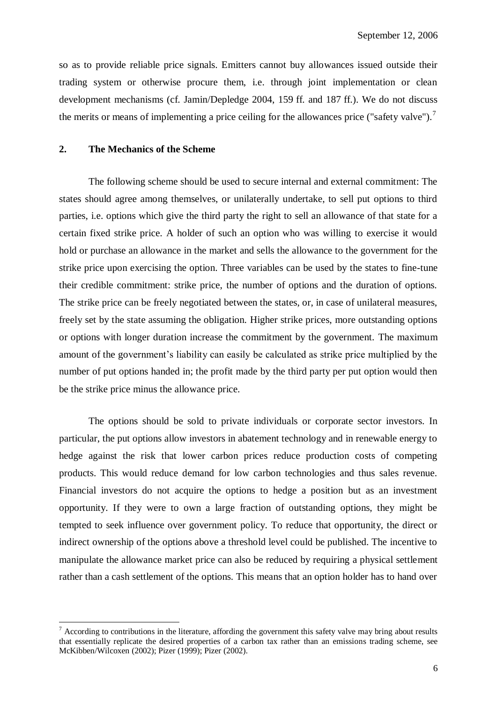so as to provide reliable price signals. Emitters cannot buy allowances issued outside their trading system or otherwise procure them, i.e. through joint implementation or clean development mechanisms (cf. Jamin/Depledge 2004, 159 ff. and 187 ff.). We do not discuss the merits or means of implementing a price ceiling for the allowances price ("safety valve").<sup>7</sup>

# **2. The Mechanics of the Scheme**

<u>.</u>

The following scheme should be used to secure internal and external commitment: The states should agree among themselves, or unilaterally undertake, to sell put options to third parties, i.e. options which give the third party the right to sell an allowance of that state for a certain fixed strike price. A holder of such an option who was willing to exercise it would hold or purchase an allowance in the market and sells the allowance to the government for the strike price upon exercising the option. Three variables can be used by the states to fine-tune their credible commitment: strike price, the number of options and the duration of options. The strike price can be freely negotiated between the states, or, in case of unilateral measures, freely set by the state assuming the obligation. Higher strike prices, more outstanding options or options with longer duration increase the commitment by the government. The maximum amount of the government's liability can easily be calculated as strike price multiplied by the number of put options handed in; the profit made by the third party per put option would then be the strike price minus the allowance price.

The options should be sold to private individuals or corporate sector investors. In particular, the put options allow investors in abatement technology and in renewable energy to hedge against the risk that lower carbon prices reduce production costs of competing products. This would reduce demand for low carbon technologies and thus sales revenue. Financial investors do not acquire the options to hedge a position but as an investment opportunity. If they were to own a large fraction of outstanding options, they might be tempted to seek influence over government policy. To reduce that opportunity, the direct or indirect ownership of the options above a threshold level could be published. The incentive to manipulate the allowance market price can also be reduced by requiring a physical settlement rather than a cash settlement of the options. This means that an option holder has to hand over

 $<sup>7</sup>$  According to contributions in the literature, affording the government this safety valve may bring about results</sup> that essentially replicate the desired properties of a carbon tax rather than an emissions trading scheme, see McKibben/Wilcoxen (2002); Pizer (1999); Pizer (2002).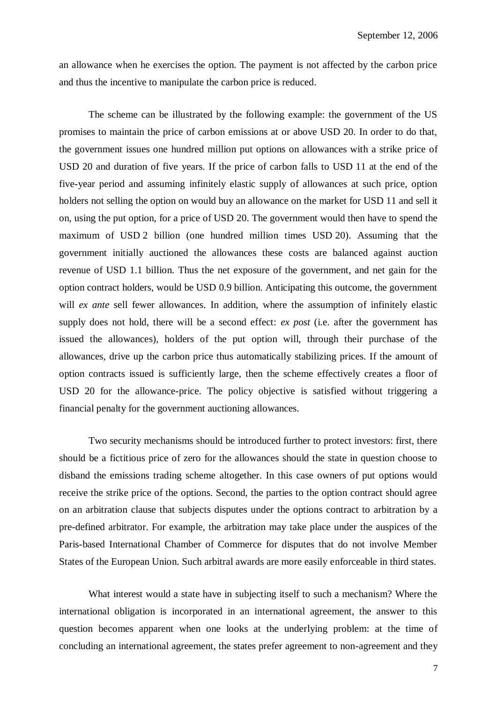an allowance when he exercises the option. The payment is not affected by the carbon price and thus the incentive to manipulate the carbon price is reduced.

The scheme can be illustrated by the following example: the government of the US promises to maintain the price of carbon emissions at or above USD 20. In order to do that, the government issues one hundred million put options on allowances with a strike price of USD 20 and duration of five years. If the price of carbon falls to USD 11 at the end of the five-year period and assuming infinitely elastic supply of allowances at such price, option holders not selling the option on would buy an allowance on the market for USD 11 and sell it on, using the put option, for a price of USD 20. The government would then have to spend the maximum of USD 2 billion (one hundred million times USD 20). Assuming that the government initially auctioned the allowances these costs are balanced against auction revenue of USD 1.1 billion. Thus the net exposure of the government, and net gain for the option contract holders, would be USD 0.9 billion. Anticipating this outcome, the government will *ex ante* sell fewer allowances. In addition, where the assumption of infinitely elastic supply does not hold, there will be a second effect: *ex post* (i.e. after the government has issued the allowances), holders of the put option will, through their purchase of the allowances, drive up the carbon price thus automatically stabilizing prices. If the amount of option contracts issued is sufficiently large, then the scheme effectively creates a floor of USD 20 for the allowance-price. The policy objective is satisfied without triggering a financial penalty for the government auctioning allowances.

Two security mechanisms should be introduced further to protect investors: first, there should be a fictitious price of zero for the allowances should the state in question choose to disband the emissions trading scheme altogether. In this case owners of put options would receive the strike price of the options. Second, the parties to the option contract should agree on an arbitration clause that subjects disputes under the options contract to arbitration by a pre-defined arbitrator. For example, the arbitration may take place under the auspices of the Paris-based International Chamber of Commerce for disputes that do not involve Member States of the European Union. Such arbitral awards are more easily enforceable in third states.

What interest would a state have in subjecting itself to such a mechanism? Where the international obligation is incorporated in an international agreement, the answer to this question becomes apparent when one looks at the underlying problem: at the time of concluding an international agreement, the states prefer agreement to non-agreement and they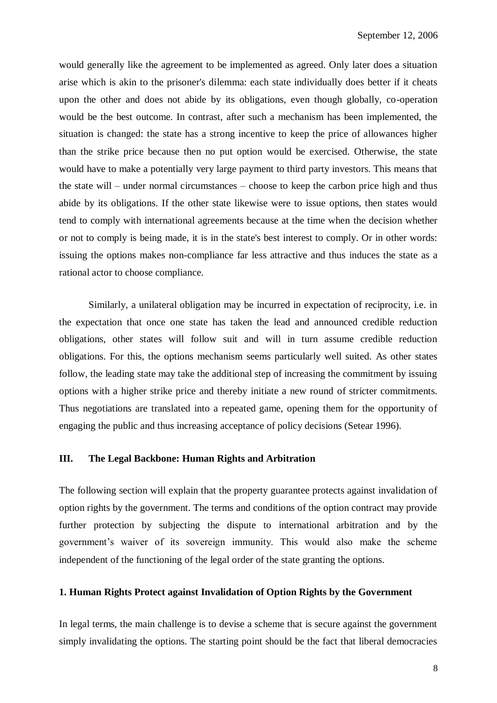would generally like the agreement to be implemented as agreed. Only later does a situation arise which is akin to the prisoner's dilemma: each state individually does better if it cheats upon the other and does not abide by its obligations, even though globally, co-operation would be the best outcome. In contrast, after such a mechanism has been implemented, the situation is changed: the state has a strong incentive to keep the price of allowances higher than the strike price because then no put option would be exercised. Otherwise, the state would have to make a potentially very large payment to third party investors. This means that the state will – under normal circumstances – choose to keep the carbon price high and thus abide by its obligations. If the other state likewise were to issue options, then states would tend to comply with international agreements because at the time when the decision whether or not to comply is being made, it is in the state's best interest to comply. Or in other words: issuing the options makes non-compliance far less attractive and thus induces the state as a rational actor to choose compliance.

Similarly, a unilateral obligation may be incurred in expectation of reciprocity, i.e. in the expectation that once one state has taken the lead and announced credible reduction obligations, other states will follow suit and will in turn assume credible reduction obligations. For this, the options mechanism seems particularly well suited. As other states follow, the leading state may take the additional step of increasing the commitment by issuing options with a higher strike price and thereby initiate a new round of stricter commitments. Thus negotiations are translated into a repeated game, opening them for the opportunity of engaging the public and thus increasing acceptance of policy decisions (Setear 1996).

# **III. The Legal Backbone: Human Rights and Arbitration**

The following section will explain that the property guarantee protects against invalidation of option rights by the government. The terms and conditions of the option contract may provide further protection by subjecting the dispute to international arbitration and by the government's waiver of its sovereign immunity. This would also make the scheme independent of the functioning of the legal order of the state granting the options.

# **1. Human Rights Protect against Invalidation of Option Rights by the Government**

In legal terms, the main challenge is to devise a scheme that is secure against the government simply invalidating the options. The starting point should be the fact that liberal democracies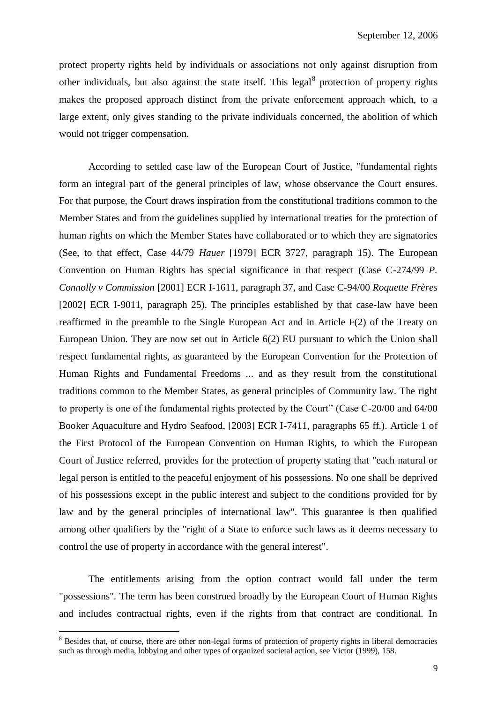protect property rights held by individuals or associations not only against disruption from other individuals, but also against the state itself. This legal<sup>8</sup> protection of property rights makes the proposed approach distinct from the private enforcement approach which, to a large extent, only gives standing to the private individuals concerned, the abolition of which would not trigger compensation.

According to settled case law of the European Court of Justice, "fundamental rights form an integral part of the general principles of law, whose observance the Court ensures. For that purpose, the Court draws inspiration from the constitutional traditions common to the Member States and from the guidelines supplied by international treaties for the protection of human rights on which the Member States have collaborated or to which they are signatories (See, to that effect, Case 44/79 *Hauer* [1979] ECR 3727, paragraph 15). The European Convention on Human Rights has special significance in that respect (Case C-274/99 *P. Connolly v Commission* [2001] ECR I-1611, paragraph 37, and Case C-94/00 *Roquette Frères* [2002] ECR I-9011, paragraph 25). The principles established by that case-law have been reaffirmed in the preamble to the Single European Act and in Article F(2) of the Treaty on European Union. They are now set out in Article 6(2) EU pursuant to which the Union shall respect fundamental rights, as guaranteed by the European Convention for the Protection of Human Rights and Fundamental Freedoms ... and as they result from the constitutional traditions common to the Member States, as general principles of Community law. The right to property is one of the fundamental rights protected by the Court" (Case C-20/00 and 64/00 Booker Aquaculture and Hydro Seafood, [2003] ECR I-7411, paragraphs 65 ff.). Article 1 of the First Protocol of the European Convention on Human Rights, to which the European Court of Justice referred, provides for the protection of property stating that "each natural or legal person is entitled to the peaceful enjoyment of his possessions. No one shall be deprived of his possessions except in the public interest and subject to the conditions provided for by law and by the general principles of international law". This guarantee is then qualified among other qualifiers by the "right of a State to enforce such laws as it deems necessary to control the use of property in accordance with the general interest".

The entitlements arising from the option contract would fall under the term "possessions". The term has been construed broadly by the European Court of Human Rights and includes contractual rights, even if the rights from that contract are conditional. In

1

<sup>&</sup>lt;sup>8</sup> Besides that, of course, there are other non-legal forms of protection of property rights in liberal democracies such as through media, lobbying and other types of organized societal action, see Victor (1999), 158.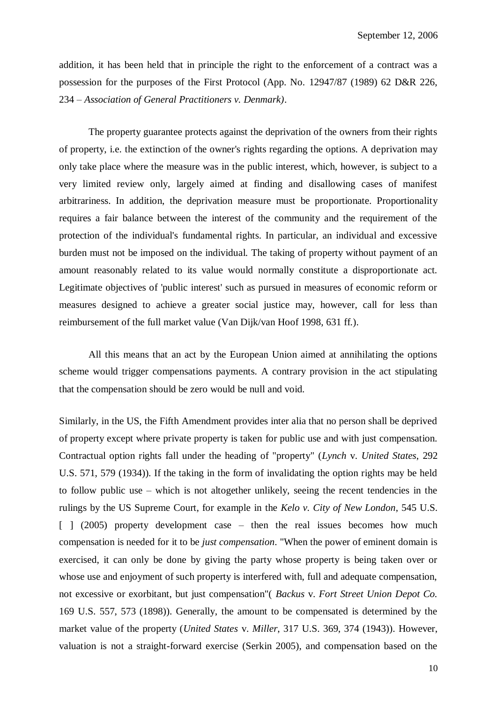addition, it has been held that in principle the right to the enforcement of a contract was a possession for the purposes of the First Protocol (App. No. 12947/87 (1989) 62 D&R 226, 234 – *Association of General Practitioners v. Denmark)*.

The property guarantee protects against the deprivation of the owners from their rights of property, i.e. the extinction of the owner's rights regarding the options. A deprivation may only take place where the measure was in the public interest, which, however, is subject to a very limited review only, largely aimed at finding and disallowing cases of manifest arbitrariness. In addition, the deprivation measure must be proportionate. Proportionality requires a fair balance between the interest of the community and the requirement of the protection of the individual's fundamental rights. In particular, an individual and excessive burden must not be imposed on the individual. The taking of property without payment of an amount reasonably related to its value would normally constitute a disproportionate act. Legitimate objectives of 'public interest' such as pursued in measures of economic reform or measures designed to achieve a greater social justice may, however, call for less than reimbursement of the full market value (Van Dijk/van Hoof 1998, 631 ff.).

All this means that an act by the European Union aimed at annihilating the options scheme would trigger compensations payments. A contrary provision in the act stipulating that the compensation should be zero would be null and void.

Similarly, in the US, the Fifth Amendment provides inter alia that no person shall be deprived of property except where private property is taken for public use and with just compensation. Contractual option rights fall under the heading of "property" (*Lynch* v. *United States*, 292 U.S. 571, 579 (1934)). If the taking in the form of invalidating the option rights may be held to follow public use – which is not altogether unlikely, seeing the recent tendencies in the rulings by the US Supreme Court, for example in the *Kelo v. City of New London*, 545 U.S. [ ] (2005) property development case – then the real issues becomes how much compensation is needed for it to be *just compensation*. "When the power of eminent domain is exercised, it can only be done by giving the party whose property is being taken over or whose use and enjoyment of such property is interfered with, full and adequate compensation, not excessive or exorbitant, but just compensation"( *Backus* v. *Fort Street Union Depot Co.* 169 U.S. 557, 573 (1898)). Generally, the amount to be compensated is determined by the market value of the property (*United States* v. *Miller*, 317 U.S. 369, 374 (1943)). However, valuation is not a straight-forward exercise (Serkin 2005), and compensation based on the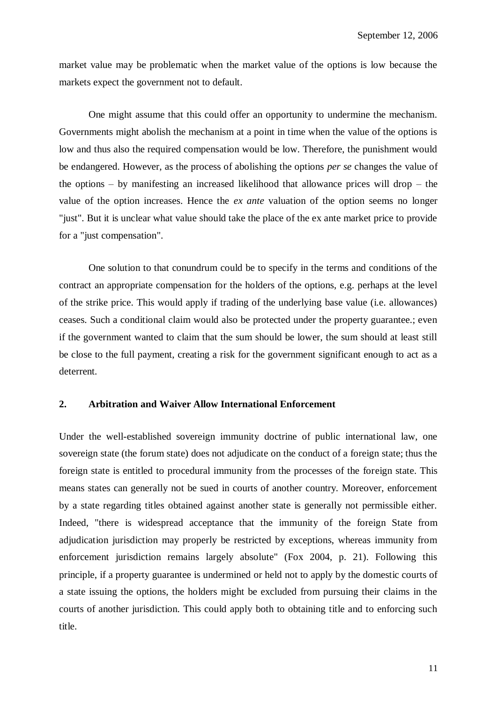market value may be problematic when the market value of the options is low because the markets expect the government not to default.

One might assume that this could offer an opportunity to undermine the mechanism. Governments might abolish the mechanism at a point in time when the value of the options is low and thus also the required compensation would be low. Therefore, the punishment would be endangered. However, as the process of abolishing the options *per se* changes the value of the options – by manifesting an increased likelihood that allowance prices will drop – the value of the option increases. Hence the *ex ante* valuation of the option seems no longer "just". But it is unclear what value should take the place of the ex ante market price to provide for a "just compensation".

One solution to that conundrum could be to specify in the terms and conditions of the contract an appropriate compensation for the holders of the options, e.g. perhaps at the level of the strike price. This would apply if trading of the underlying base value (i.e. allowances) ceases. Such a conditional claim would also be protected under the property guarantee.; even if the government wanted to claim that the sum should be lower, the sum should at least still be close to the full payment, creating a risk for the government significant enough to act as a deterrent.

## **2. Arbitration and Waiver Allow International Enforcement**

Under the well-established sovereign immunity doctrine of public international law, one sovereign state (the forum state) does not adjudicate on the conduct of a foreign state; thus the foreign state is entitled to procedural immunity from the processes of the foreign state. This means states can generally not be sued in courts of another country. Moreover, enforcement by a state regarding titles obtained against another state is generally not permissible either. Indeed, "there is widespread acceptance that the immunity of the foreign State from adjudication jurisdiction may properly be restricted by exceptions, whereas immunity from enforcement jurisdiction remains largely absolute" (Fox 2004, p. 21). Following this principle, if a property guarantee is undermined or held not to apply by the domestic courts of a state issuing the options, the holders might be excluded from pursuing their claims in the courts of another jurisdiction. This could apply both to obtaining title and to enforcing such title.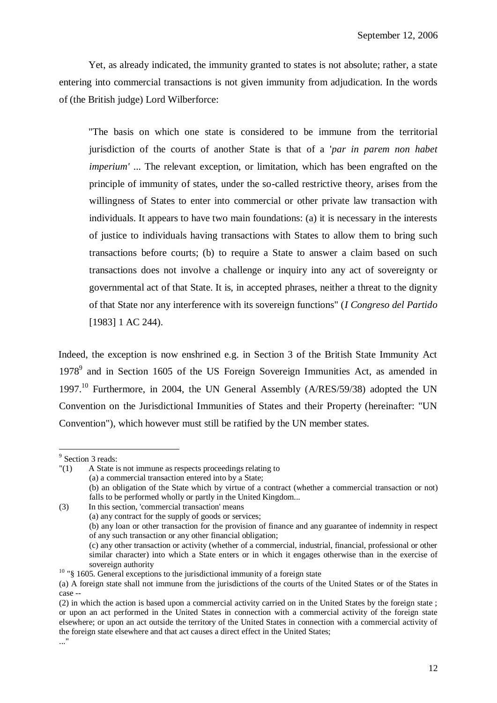Yet, as already indicated, the immunity granted to states is not absolute; rather, a state entering into commercial transactions is not given immunity from adjudication. In the words of (the British judge) Lord Wilberforce:

"The basis on which one state is considered to be immune from the territorial jurisdiction of the courts of another State is that of a '*par in parem non habet imperium'* ... The relevant exception, or limitation, which has been engrafted on the principle of immunity of states, under the so-called restrictive theory, arises from the willingness of States to enter into commercial or other private law transaction with individuals. It appears to have two main foundations: (a) it is necessary in the interests of justice to individuals having transactions with States to allow them to bring such transactions before courts; (b) to require a State to answer a claim based on such transactions does not involve a challenge or inquiry into any act of sovereignty or governmental act of that State. It is, in accepted phrases, neither a threat to the dignity of that State nor any interference with its sovereign functions" (*I Congreso del Partido* [1983] 1 AC 244).

Indeed, the exception is now enshrined e.g. in Section 3 of the British State Immunity Act 1978<sup>9</sup> and in Section 1605 of the US Foreign Sovereign Immunities Act, as amended in 1997.<sup>10</sup> Furthermore, in 2004, the UN General Assembly (A/RES/59/38) adopted the UN Convention on the Jurisdictional Immunities of States and their Property (hereinafter: "UN Convention"), which however must still be ratified by the UN member states.

<u>.</u>

"(1) A State is not immune as respects proceedings relating to (a) a commercial transaction entered into by a State; (b) an obligation of the State which by virtue of a contract (whether a commercial transaction or not) falls to be performed wholly or partly in the United Kingdom... (3) In this section, 'commercial transaction' means (a) any contract for the supply of goods or services; (b) any loan or other transaction for the provision of finance and any guarantee of indemnity in respect

<sup>&</sup>lt;sup>9</sup> Section 3 reads:

of any such transaction or any other financial obligation;

<sup>(</sup>c) any other transaction or activity (whether of a commercial, industrial, financial, professional or other similar character) into which a State enters or in which it engages otherwise than in the exercise of sovereign authority

<sup>&</sup>lt;sup>10</sup> "§ 1605. General exceptions to the jurisdictional immunity of a foreign state

<sup>(</sup>a) A foreign state shall not immune from the jurisdictions of the courts of the United States or of the States in case --

<sup>(2)</sup> in which the action is based upon a commercial activity carried on in the United States by the foreign state ; or upon an act performed in the United States in connection with a commercial activity of the foreign state elsewhere; or upon an act outside the territory of the United States in connection with a commercial activity of the foreign state elsewhere and that act causes a direct effect in the United States; ..."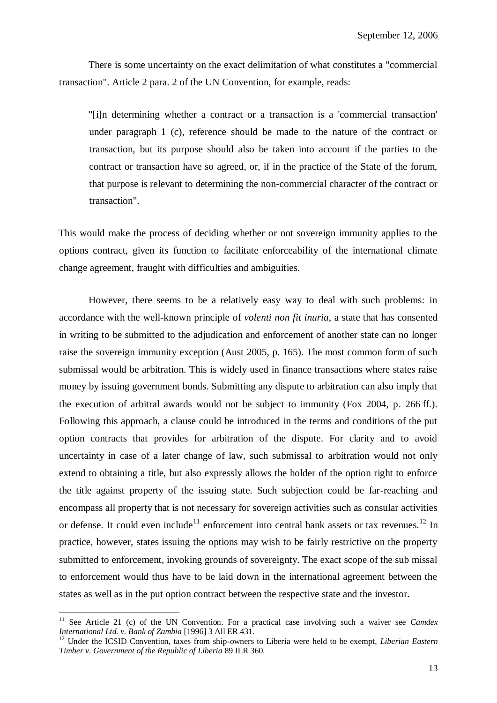There is some uncertainty on the exact delimitation of what constitutes a "commercial transaction". Article 2 para. 2 of the UN Convention, for example, reads:

"[i]n determining whether a contract or a transaction is a 'commercial transaction' under paragraph 1 (c), reference should be made to the nature of the contract or transaction, but its purpose should also be taken into account if the parties to the contract or transaction have so agreed, or, if in the practice of the State of the forum, that purpose is relevant to determining the non-commercial character of the contract or transaction".

This would make the process of deciding whether or not sovereign immunity applies to the options contract, given its function to facilitate enforceability of the international climate change agreement, fraught with difficulties and ambiguities.

However, there seems to be a relatively easy way to deal with such problems: in accordance with the well-known principle of *volenti non fit inuria*, a state that has consented in writing to be submitted to the adjudication and enforcement of another state can no longer raise the sovereign immunity exception (Aust 2005, p. 165). The most common form of such submissal would be arbitration. This is widely used in finance transactions where states raise money by issuing government bonds. Submitting any dispute to arbitration can also imply that the execution of arbitral awards would not be subject to immunity (Fox 2004, p. 266 ff.). Following this approach, a clause could be introduced in the terms and conditions of the put option contracts that provides for arbitration of the dispute. For clarity and to avoid uncertainty in case of a later change of law, such submissal to arbitration would not only extend to obtaining a title, but also expressly allows the holder of the option right to enforce the title against property of the issuing state. Such subjection could be far-reaching and encompass all property that is not necessary for sovereign activities such as consular activities or defense. It could even include<sup>11</sup> enforcement into central bank assets or tax revenues.<sup>12</sup> In practice, however, states issuing the options may wish to be fairly restrictive on the property submitted to enforcement, invoking grounds of sovereignty. The exact scope of the sub missal to enforcement would thus have to be laid down in the international agreement between the states as well as in the put option contract between the respective state and the investor.

<u>.</u>

<sup>&</sup>lt;sup>11</sup> See Article 21 (c) of the UN Convention. For a practical case involving such a waiver see *Camdex International Ltd. v. Bank of Zambia* [1996] 3 All ER 431.

<sup>&</sup>lt;sup>12</sup> Under the ICSID Convention, taxes from ship-owners to Liberia were held to be exempt, *Liberian Eastern Timber v. Government of the Republic of Liberia* 89 ILR 360.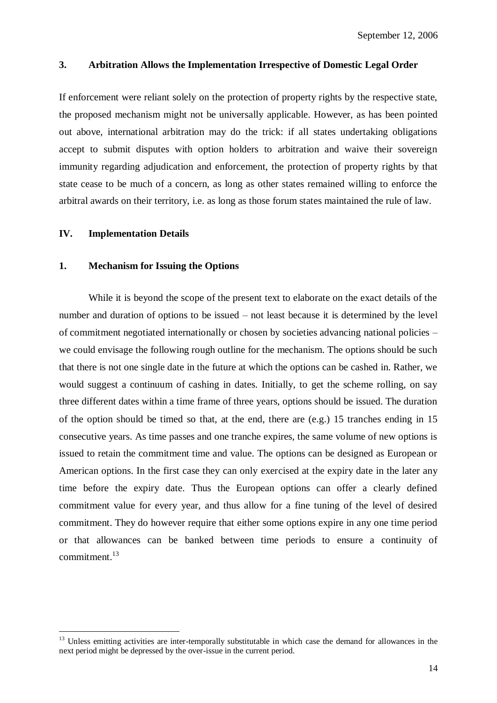# **3. Arbitration Allows the Implementation Irrespective of Domestic Legal Order**

If enforcement were reliant solely on the protection of property rights by the respective state, the proposed mechanism might not be universally applicable. However, as has been pointed out above, international arbitration may do the trick: if all states undertaking obligations accept to submit disputes with option holders to arbitration and waive their sovereign immunity regarding adjudication and enforcement, the protection of property rights by that state cease to be much of a concern, as long as other states remained willing to enforce the arbitral awards on their territory, i.e. as long as those forum states maintained the rule of law.

# **IV. Implementation Details**

1

#### **1. Mechanism for Issuing the Options**

While it is beyond the scope of the present text to elaborate on the exact details of the number and duration of options to be issued – not least because it is determined by the level of commitment negotiated internationally or chosen by societies advancing national policies – we could envisage the following rough outline for the mechanism. The options should be such that there is not one single date in the future at which the options can be cashed in. Rather, we would suggest a continuum of cashing in dates. Initially, to get the scheme rolling, on say three different dates within a time frame of three years, options should be issued. The duration of the option should be timed so that, at the end, there are (e.g.) 15 tranches ending in 15 consecutive years. As time passes and one tranche expires, the same volume of new options is issued to retain the commitment time and value. The options can be designed as European or American options. In the first case they can only exercised at the expiry date in the later any time before the expiry date. Thus the European options can offer a clearly defined commitment value for every year, and thus allow for a fine tuning of the level of desired commitment. They do however require that either some options expire in any one time period or that allowances can be banked between time periods to ensure a continuity of commitment. $13$ 

<sup>&</sup>lt;sup>13</sup> Unless emitting activities are inter-temporally substitutable in which case the demand for allowances in the next period might be depressed by the over-issue in the current period.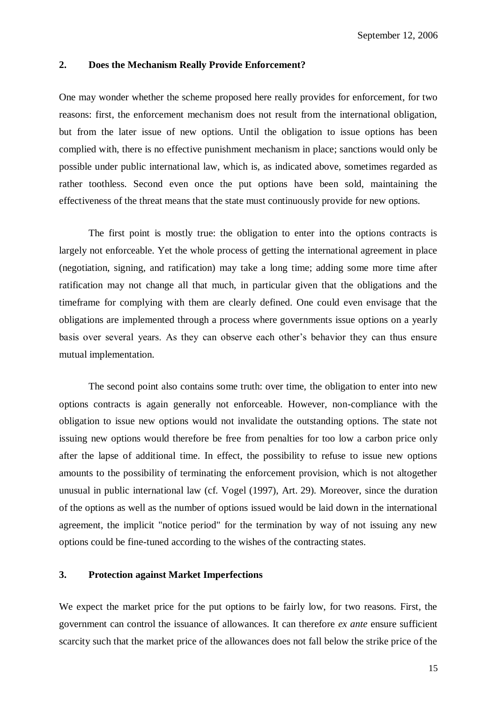# **2. Does the Mechanism Really Provide Enforcement?**

One may wonder whether the scheme proposed here really provides for enforcement, for two reasons: first, the enforcement mechanism does not result from the international obligation, but from the later issue of new options. Until the obligation to issue options has been complied with, there is no effective punishment mechanism in place; sanctions would only be possible under public international law, which is, as indicated above, sometimes regarded as rather toothless. Second even once the put options have been sold, maintaining the effectiveness of the threat means that the state must continuously provide for new options.

The first point is mostly true: the obligation to enter into the options contracts is largely not enforceable. Yet the whole process of getting the international agreement in place (negotiation, signing, and ratification) may take a long time; adding some more time after ratification may not change all that much, in particular given that the obligations and the timeframe for complying with them are clearly defined. One could even envisage that the obligations are implemented through a process where governments issue options on a yearly basis over several years. As they can observe each other's behavior they can thus ensure mutual implementation.

The second point also contains some truth: over time, the obligation to enter into new options contracts is again generally not enforceable. However, non-compliance with the obligation to issue new options would not invalidate the outstanding options. The state not issuing new options would therefore be free from penalties for too low a carbon price only after the lapse of additional time. In effect, the possibility to refuse to issue new options amounts to the possibility of terminating the enforcement provision, which is not altogether unusual in public international law (cf. Vogel (1997), Art. 29). Moreover, since the duration of the options as well as the number of options issued would be laid down in the international agreement, the implicit "notice period" for the termination by way of not issuing any new options could be fine-tuned according to the wishes of the contracting states.

#### **3. Protection against Market Imperfections**

We expect the market price for the put options to be fairly low, for two reasons. First, the government can control the issuance of allowances. It can therefore *ex ante* ensure sufficient scarcity such that the market price of the allowances does not fall below the strike price of the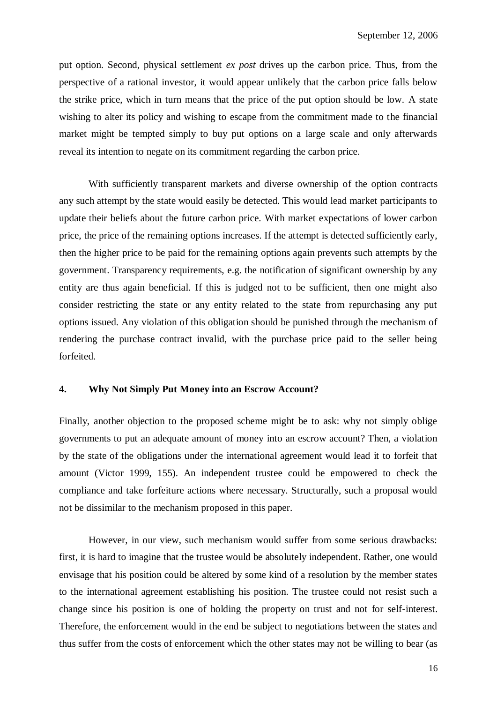put option. Second, physical settlement *ex post* drives up the carbon price. Thus, from the perspective of a rational investor, it would appear unlikely that the carbon price falls below the strike price, which in turn means that the price of the put option should be low. A state wishing to alter its policy and wishing to escape from the commitment made to the financial market might be tempted simply to buy put options on a large scale and only afterwards reveal its intention to negate on its commitment regarding the carbon price.

With sufficiently transparent markets and diverse ownership of the option contracts any such attempt by the state would easily be detected. This would lead market participants to update their beliefs about the future carbon price. With market expectations of lower carbon price, the price of the remaining options increases. If the attempt is detected sufficiently early, then the higher price to be paid for the remaining options again prevents such attempts by the government. Transparency requirements, e.g. the notification of significant ownership by any entity are thus again beneficial. If this is judged not to be sufficient, then one might also consider restricting the state or any entity related to the state from repurchasing any put options issued. Any violation of this obligation should be punished through the mechanism of rendering the purchase contract invalid, with the purchase price paid to the seller being forfeited.

# **4. Why Not Simply Put Money into an Escrow Account?**

Finally, another objection to the proposed scheme might be to ask: why not simply oblige governments to put an adequate amount of money into an escrow account? Then, a violation by the state of the obligations under the international agreement would lead it to forfeit that amount (Victor 1999, 155). An independent trustee could be empowered to check the compliance and take forfeiture actions where necessary. Structurally, such a proposal would not be dissimilar to the mechanism proposed in this paper.

However, in our view, such mechanism would suffer from some serious drawbacks: first, it is hard to imagine that the trustee would be absolutely independent. Rather, one would envisage that his position could be altered by some kind of a resolution by the member states to the international agreement establishing his position. The trustee could not resist such a change since his position is one of holding the property on trust and not for self-interest. Therefore, the enforcement would in the end be subject to negotiations between the states and thus suffer from the costs of enforcement which the other states may not be willing to bear (as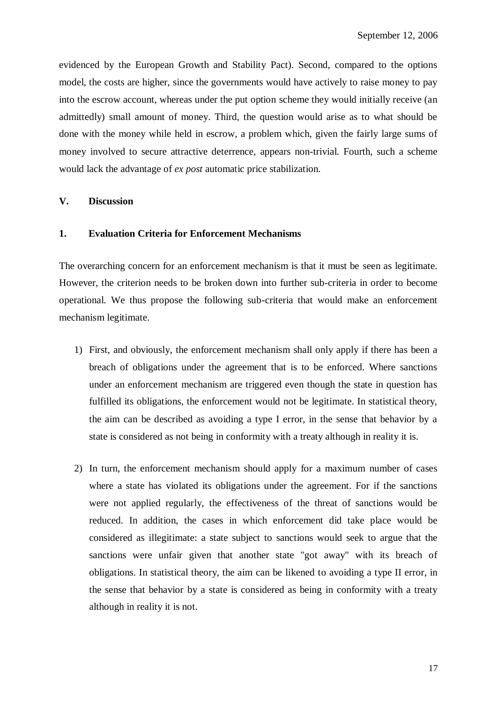evidenced by the European Growth and Stability Pact). Second, compared to the options model, the costs are higher, since the governments would have actively to raise money to pay into the escrow account, whereas under the put option scheme they would initially receive (an admittedly) small amount of money. Third, the question would arise as to what should be done with the money while held in escrow, a problem which, given the fairly large sums of money involved to secure attractive deterrence, appears non-trivial. Fourth, such a scheme would lack the advantage of *ex post* automatic price stabilization.

## **V. Discussion**

# **1. Evaluation Criteria for Enforcement Mechanisms**

The overarching concern for an enforcement mechanism is that it must be seen as legitimate. However, the criterion needs to be broken down into further sub-criteria in order to become operational. We thus propose the following sub-criteria that would make an enforcement mechanism legitimate.

- 1) First, and obviously, the enforcement mechanism shall only apply if there has been a breach of obligations under the agreement that is to be enforced. Where sanctions under an enforcement mechanism are triggered even though the state in question has fulfilled its obligations, the enforcement would not be legitimate. In statistical theory, the aim can be described as avoiding a type I error, in the sense that behavior by a state is considered as not being in conformity with a treaty although in reality it is.
- 2) In turn, the enforcement mechanism should apply for a maximum number of cases where a state has violated its obligations under the agreement. For if the sanctions were not applied regularly, the effectiveness of the threat of sanctions would be reduced. In addition, the cases in which enforcement did take place would be considered as illegitimate: a state subject to sanctions would seek to argue that the sanctions were unfair given that another state "got away" with its breach of obligations. In statistical theory, the aim can be likened to avoiding a type II error, in the sense that behavior by a state is considered as being in conformity with a treaty although in reality it is not.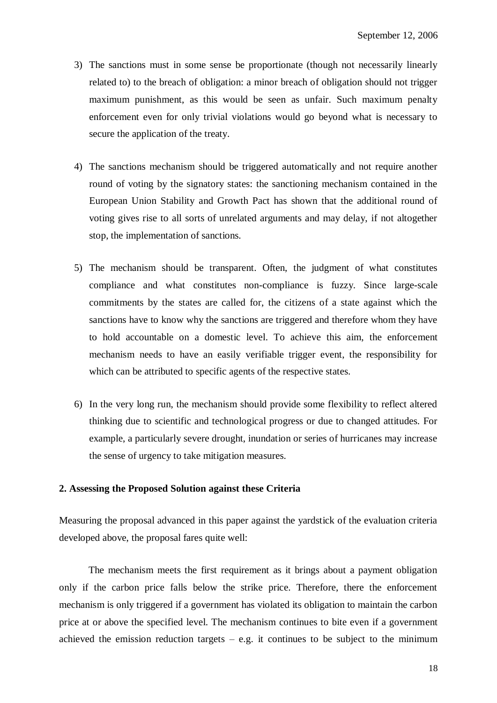- 3) The sanctions must in some sense be proportionate (though not necessarily linearly related to) to the breach of obligation: a minor breach of obligation should not trigger maximum punishment, as this would be seen as unfair. Such maximum penalty enforcement even for only trivial violations would go beyond what is necessary to secure the application of the treaty.
- 4) The sanctions mechanism should be triggered automatically and not require another round of voting by the signatory states: the sanctioning mechanism contained in the European Union Stability and Growth Pact has shown that the additional round of voting gives rise to all sorts of unrelated arguments and may delay, if not altogether stop, the implementation of sanctions.
- 5) The mechanism should be transparent. Often, the judgment of what constitutes compliance and what constitutes non-compliance is fuzzy. Since large-scale commitments by the states are called for, the citizens of a state against which the sanctions have to know why the sanctions are triggered and therefore whom they have to hold accountable on a domestic level. To achieve this aim, the enforcement mechanism needs to have an easily verifiable trigger event, the responsibility for which can be attributed to specific agents of the respective states.
- 6) In the very long run, the mechanism should provide some flexibility to reflect altered thinking due to scientific and technological progress or due to changed attitudes. For example, a particularly severe drought, inundation or series of hurricanes may increase the sense of urgency to take mitigation measures.

# **2. Assessing the Proposed Solution against these Criteria**

Measuring the proposal advanced in this paper against the yardstick of the evaluation criteria developed above, the proposal fares quite well:

The mechanism meets the first requirement as it brings about a payment obligation only if the carbon price falls below the strike price. Therefore, there the enforcement mechanism is only triggered if a government has violated its obligation to maintain the carbon price at or above the specified level. The mechanism continues to bite even if a government achieved the emission reduction targets  $-$  e.g. it continues to be subject to the minimum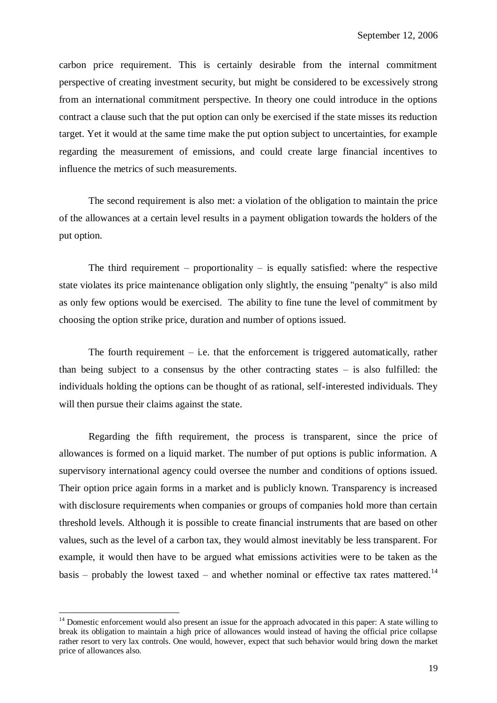carbon price requirement. This is certainly desirable from the internal commitment perspective of creating investment security, but might be considered to be excessively strong from an international commitment perspective. In theory one could introduce in the options contract a clause such that the put option can only be exercised if the state misses its reduction target. Yet it would at the same time make the put option subject to uncertainties, for example regarding the measurement of emissions, and could create large financial incentives to influence the metrics of such measurements.

The second requirement is also met: a violation of the obligation to maintain the price of the allowances at a certain level results in a payment obligation towards the holders of the put option.

The third requirement – proportionality – is equally satisfied: where the respective state violates its price maintenance obligation only slightly, the ensuing "penalty" is also mild as only few options would be exercised. The ability to fine tune the level of commitment by choosing the option strike price, duration and number of options issued.

The fourth requirement  $-$  i.e. that the enforcement is triggered automatically, rather than being subject to a consensus by the other contracting states  $-$  is also fulfilled: the individuals holding the options can be thought of as rational, self-interested individuals. They will then pursue their claims against the state.

Regarding the fifth requirement, the process is transparent, since the price of allowances is formed on a liquid market. The number of put options is public information. A supervisory international agency could oversee the number and conditions of options issued. Their option price again forms in a market and is publicly known. Transparency is increased with disclosure requirements when companies or groups of companies hold more than certain threshold levels. Although it is possible to create financial instruments that are based on other values, such as the level of a carbon tax, they would almost inevitably be less transparent. For example, it would then have to be argued what emissions activities were to be taken as the basis – probably the lowest taxed – and whether nominal or effective tax rates mattered.<sup>14</sup>

<u>.</u>

<sup>&</sup>lt;sup>14</sup> Domestic enforcement would also present an issue for the approach advocated in this paper: A state willing to break its obligation to maintain a high price of allowances would instead of having the official price collapse rather resort to very lax controls. One would, however, expect that such behavior would bring down the market price of allowances also.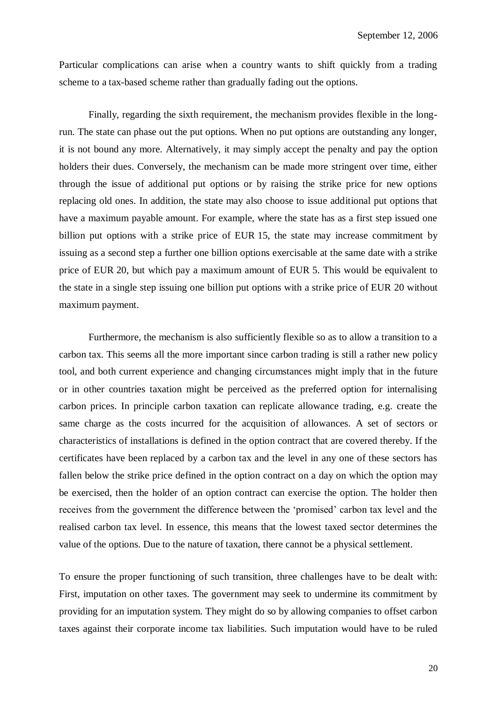Particular complications can arise when a country wants to shift quickly from a trading scheme to a tax-based scheme rather than gradually fading out the options.

Finally, regarding the sixth requirement, the mechanism provides flexible in the longrun. The state can phase out the put options. When no put options are outstanding any longer, it is not bound any more. Alternatively, it may simply accept the penalty and pay the option holders their dues. Conversely, the mechanism can be made more stringent over time, either through the issue of additional put options or by raising the strike price for new options replacing old ones. In addition, the state may also choose to issue additional put options that have a maximum payable amount. For example, where the state has as a first step issued one billion put options with a strike price of EUR 15, the state may increase commitment by issuing as a second step a further one billion options exercisable at the same date with a strike price of EUR 20, but which pay a maximum amount of EUR 5. This would be equivalent to the state in a single step issuing one billion put options with a strike price of EUR 20 without maximum payment.

Furthermore, the mechanism is also sufficiently flexible so as to allow a transition to a carbon tax. This seems all the more important since carbon trading is still a rather new policy tool, and both current experience and changing circumstances might imply that in the future or in other countries taxation might be perceived as the preferred option for internalising carbon prices. In principle carbon taxation can replicate allowance trading, e.g. create the same charge as the costs incurred for the acquisition of allowances. A set of sectors or characteristics of installations is defined in the option contract that are covered thereby. If the certificates have been replaced by a carbon tax and the level in any one of these sectors has fallen below the strike price defined in the option contract on a day on which the option may be exercised, then the holder of an option contract can exercise the option. The holder then receives from the government the difference between the 'promised' carbon tax level and the realised carbon tax level. In essence, this means that the lowest taxed sector determines the value of the options. Due to the nature of taxation, there cannot be a physical settlement.

To ensure the proper functioning of such transition, three challenges have to be dealt with: First, imputation on other taxes. The government may seek to undermine its commitment by providing for an imputation system. They might do so by allowing companies to offset carbon taxes against their corporate income tax liabilities. Such imputation would have to be ruled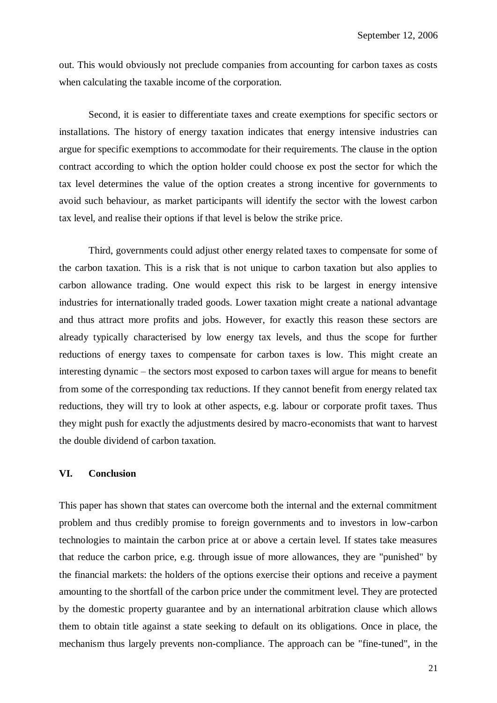out. This would obviously not preclude companies from accounting for carbon taxes as costs when calculating the taxable income of the corporation.

Second, it is easier to differentiate taxes and create exemptions for specific sectors or installations. The history of energy taxation indicates that energy intensive industries can argue for specific exemptions to accommodate for their requirements. The clause in the option contract according to which the option holder could choose ex post the sector for which the tax level determines the value of the option creates a strong incentive for governments to avoid such behaviour, as market participants will identify the sector with the lowest carbon tax level, and realise their options if that level is below the strike price.

Third, governments could adjust other energy related taxes to compensate for some of the carbon taxation. This is a risk that is not unique to carbon taxation but also applies to carbon allowance trading. One would expect this risk to be largest in energy intensive industries for internationally traded goods. Lower taxation might create a national advantage and thus attract more profits and jobs. However, for exactly this reason these sectors are already typically characterised by low energy tax levels, and thus the scope for further reductions of energy taxes to compensate for carbon taxes is low. This might create an interesting dynamic – the sectors most exposed to carbon taxes will argue for means to benefit from some of the corresponding tax reductions. If they cannot benefit from energy related tax reductions, they will try to look at other aspects, e.g. labour or corporate profit taxes. Thus they might push for exactly the adjustments desired by macro-economists that want to harvest the double dividend of carbon taxation.

# **VI. Conclusion**

This paper has shown that states can overcome both the internal and the external commitment problem and thus credibly promise to foreign governments and to investors in low-carbon technologies to maintain the carbon price at or above a certain level. If states take measures that reduce the carbon price, e.g. through issue of more allowances, they are "punished" by the financial markets: the holders of the options exercise their options and receive a payment amounting to the shortfall of the carbon price under the commitment level. They are protected by the domestic property guarantee and by an international arbitration clause which allows them to obtain title against a state seeking to default on its obligations. Once in place, the mechanism thus largely prevents non-compliance. The approach can be "fine-tuned", in the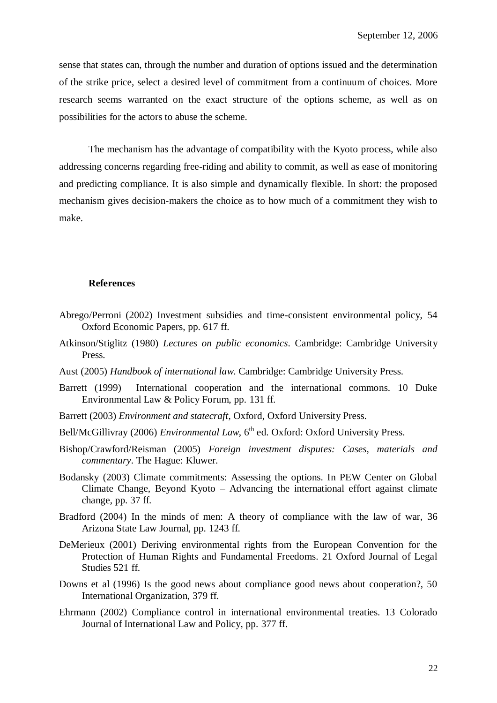sense that states can, through the number and duration of options issued and the determination of the strike price, select a desired level of commitment from a continuum of choices. More research seems warranted on the exact structure of the options scheme, as well as on possibilities for the actors to abuse the scheme.

The mechanism has the advantage of compatibility with the Kyoto process, while also addressing concerns regarding free-riding and ability to commit, as well as ease of monitoring and predicting compliance. It is also simple and dynamically flexible. In short: the proposed mechanism gives decision-makers the choice as to how much of a commitment they wish to make.

#### **References**

- Abrego/Perroni (2002) Investment subsidies and time-consistent environmental policy, 54 Oxford Economic Papers, pp. 617 ff.
- Atkinson/Stiglitz (1980) *Lectures on public economics*. Cambridge: Cambridge University Press.
- Aust (2005) *Handbook of international law*. Cambridge: Cambridge University Press.
- Barrett (1999) International cooperation and the international commons. 10 Duke Environmental Law & Policy Forum, pp. 131 ff.
- Barrett (2003) *Environment and statecraft*, Oxford, Oxford University Press.
- Bell/McGillivray (2006) *Environmental Law*, 6<sup>th</sup> ed. Oxford: Oxford University Press.
- Bishop/Crawford/Reisman (2005) *Foreign investment disputes: Cases, materials and commentary*. The Hague: Kluwer.
- Bodansky (2003) Climate commitments: Assessing the options. In PEW Center on Global Climate Change, Beyond Kyoto – Advancing the international effort against climate change, pp. 37 ff.
- Bradford (2004) In the minds of men: A theory of compliance with the law of war, 36 Arizona State Law Journal, pp. 1243 ff.
- DeMerieux (2001) Deriving environmental rights from the European Convention for the Protection of Human Rights and Fundamental Freedoms. 21 Oxford Journal of Legal Studies 521 ff.
- Downs et al (1996) Is the good news about compliance good news about cooperation?, 50 International Organization, 379 ff.
- Ehrmann (2002) Compliance control in international environmental treaties. 13 Colorado Journal of International Law and Policy, pp. 377 ff.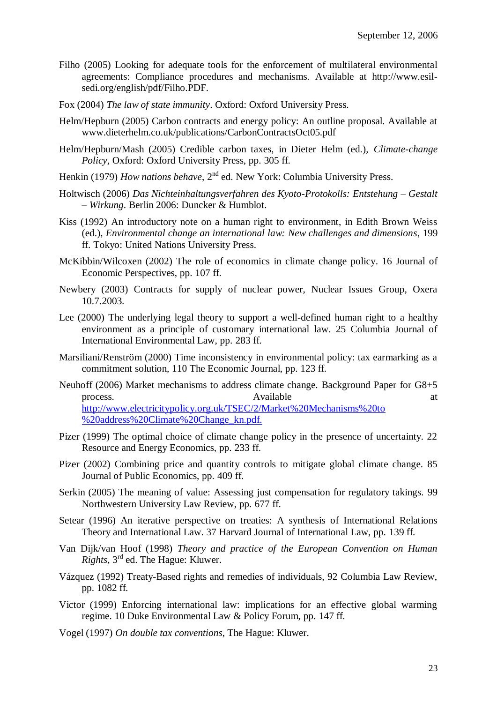- Filho (2005) Looking for adequate tools for the enforcement of multilateral environmental agreements: Compliance procedures and mechanisms. Available at http://www.esilsedi.org/english/pdf/Filho.PDF.
- Fox (2004) *The law of state immunity*. Oxford: Oxford University Press.
- Helm/Hepburn (2005) Carbon contracts and energy policy: An outline proposal. Available at www.dieterhelm.co.uk/publications/CarbonContractsOct05.pdf
- Helm/Hepburn/Mash (2005) Credible carbon taxes, in Dieter Helm (ed.), *Climate-change Policy*, Oxford: Oxford University Press, pp. 305 ff.
- Henkin (1979) *How nations behave*, 2<sup>nd</sup> ed. New York: Columbia University Press.
- Holtwisch (2006) *Das Nichteinhaltungsverfahren des Kyoto-Protokolls: Entstehung – Gestalt – Wirkung*. Berlin 2006: Duncker & Humblot.
- Kiss (1992) An introductory note on a human right to environment, in Edith Brown Weiss (ed.), *Environmental change an international law: New challenges and dimensions*, 199 ff. Tokyo: United Nations University Press.
- McKibbin/Wilcoxen (2002) The role of economics in climate change policy. 16 Journal of Economic Perspectives, pp. 107 ff.
- Newbery (2003) Contracts for supply of nuclear power, Nuclear Issues Group, Oxera 10.7.2003.
- Lee (2000) The underlying legal theory to support a well-defined human right to a healthy environment as a principle of customary international law. 25 Columbia Journal of International Environmental Law, pp. 283 ff.
- Marsiliani/Renström (2000) Time inconsistency in environmental policy: tax earmarking as a commitment solution, 110 The Economic Journal, pp. 123 ff.
- Neuhoff (2006) Market mechanisms to address climate change. Background Paper for G8+5 process. Available at Available at  $\alpha$ <http://www.electricitypolicy.org.uk/TSEC/2/Market%20Mechanisms%20to> %20address%20Climate%20Change\_kn.pdf.
- Pizer (1999) The optimal choice of climate change policy in the presence of uncertainty. 22 Resource and Energy Economics, pp. 233 ff.
- Pizer (2002) Combining price and quantity controls to mitigate global climate change. 85 Journal of Public Economics, pp. 409 ff.
- Serkin (2005) The meaning of value: Assessing just compensation for regulatory takings. 99 Northwestern University Law Review, pp. 677 ff.
- Setear (1996) An iterative perspective on treaties: A synthesis of International Relations Theory and International Law. 37 Harvard Journal of International Law, pp. 139 ff.
- Van Dijk/van Hoof (1998) *Theory and practice of the European Convention on Human Rights*, 3rd ed. The Hague: Kluwer.
- Vázquez (1992) Treaty-Based rights and remedies of individuals, 92 Columbia Law Review, pp. 1082 ff.
- Victor (1999) Enforcing international law: implications for an effective global warming regime. 10 Duke Environmental Law & Policy Forum, pp. 147 ff.
- Vogel (1997) *On double tax conventions*, The Hague: Kluwer.